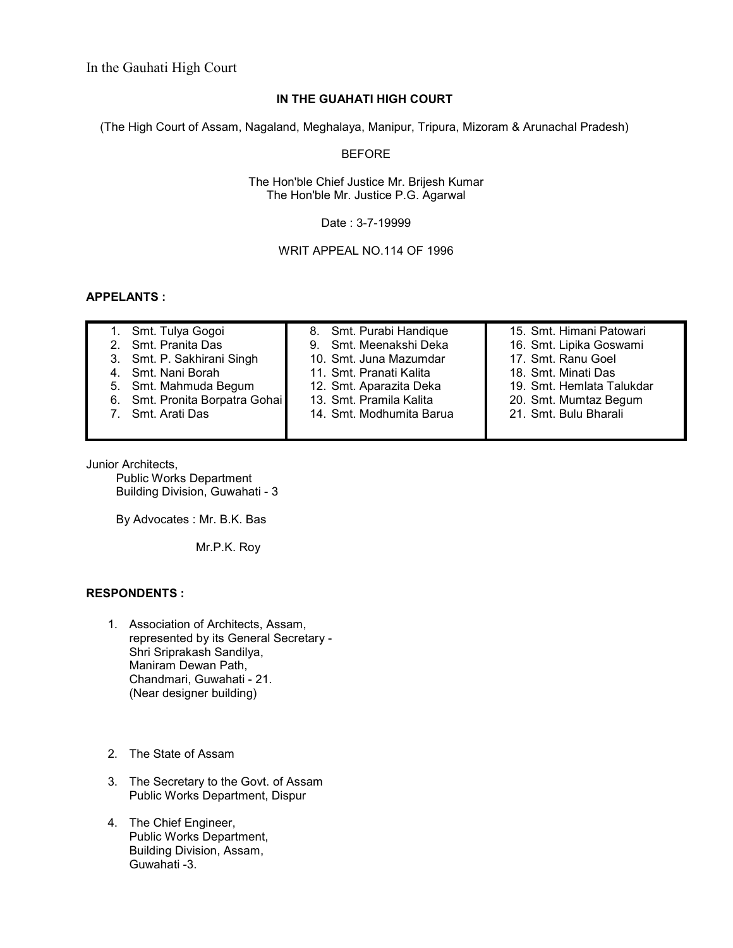# **IN THE GUAHATI HIGH COURT**

(The High Court of Assam, Nagaland, Meghalaya, Manipur, Tripura, Mizoram & Arunachal Pradesh)

## BEFORE

The Hon'ble Chief Justice Mr. Brijesh Kumar The Hon'ble Mr. Justice P.G. Agarwal

Date : 3-7-19999

WRIT APPEAL NO.114 OF 1996

## **APPELANTS :**

| 1. Smt. Tulya Gogoi            | 8. Smt. Purabi Handique  | 15. Smt. Himani Patowari  |
|--------------------------------|--------------------------|---------------------------|
| 2. Smt. Pranita Das            | 9. Smt. Meenakshi Deka   | 16. Smt. Lipika Goswami   |
| 3. Smt. P. Sakhirani Singh     | 10. Smt. Juna Mazumdar   | 17. Smt. Ranu Goel        |
| 4. Smt. Nani Borah             | 11. Smt. Pranati Kalita  | 18. Smt. Minati Das       |
| 5. Smt. Mahmuda Begum          | 12. Smt. Aparazita Deka  | 19. Smt. Hemlata Talukdar |
| 6. Smt. Pronita Borpatra Gohai | 13. Smt. Pramila Kalita  | 20. Smt. Mumtaz Begum     |
| 7. Smt. Arati Das              | 14. Smt. Modhumita Barua | 21. Smt. Bulu Bharali     |
|                                |                          |                           |

Junior Architects,

 Public Works Department Building Division, Guwahati - 3

By Advocates : Mr. B.K. Bas

Mr.P.K. Roy

#### **RESPONDENTS :**

- 1. Association of Architects, Assam, represented by its General Secretary - Shri Sriprakash Sandilya, Maniram Dewan Path, Chandmari, Guwahati - 21. (Near designer building)
- 2. The State of Assam
- 3. The Secretary to the Govt. of Assam Public Works Department, Dispur
- 4. The Chief Engineer, Public Works Department, Building Division, Assam, Guwahati -3.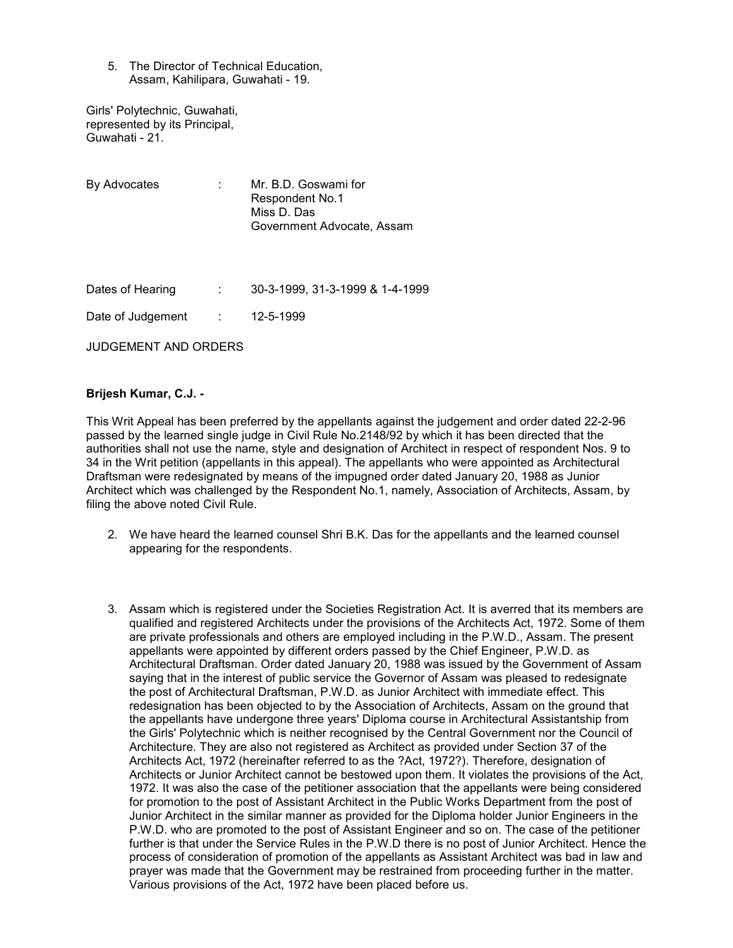5. The Director of Technical Education, Assam, Kahilipara, Guwahati - 19.

Girls' Polytechnic, Guwahati, represented by its Principal, Guwahati - 21.

| By Advocates         | Mr. B.D. Goswami for<br>Respondent No.1<br>Miss D. Das<br>Government Advocate, Assam |
|----------------------|--------------------------------------------------------------------------------------|
| Dates of Hearing     | 30-3-1999, 31-3-1999 & 1-4-1999                                                      |
| Date of Judgement    | 12-5-1999                                                                            |
| JUDGEMENT AND ORDERS |                                                                                      |

#### **Brijesh Kumar, C.J. -**

This Writ Appeal has been preferred by the appellants against the judgement and order dated 22-2-96 passed by the learned single judge in Civil Rule No.2148/92 by which it has been directed that the authorities shall not use the name, style and designation of Architect in respect of respondent Nos. 9 to 34 in the Writ petition (appellants in this appeal). The appellants who were appointed as Architectural Draftsman were redesignated by means of the impugned order dated January 20, 1988 as Junior Architect which was challenged by the Respondent No.1, namely, Association of Architects, Assam, by filing the above noted Civil Rule.

- 2. We have heard the learned counsel Shri B.K. Das for the appellants and the learned counsel appearing for the respondents.
- 3. Assam which is registered under the Societies Registration Act. It is averred that its members are qualified and registered Architects under the provisions of the Architects Act, 1972. Some of them are private professionals and others are employed including in the P.W.D., Assam. The present appellants were appointed by different orders passed by the Chief Engineer, P.W.D. as Architectural Draftsman. Order dated January 20, 1988 was issued by the Government of Assam saying that in the interest of public service the Governor of Assam was pleased to redesignate the post of Architectural Draftsman, P.W.D. as Junior Architect with immediate effect. This redesignation has been objected to by the Association of Architects, Assam on the ground that the appellants have undergone three years' Diploma course in Architectural Assistantship from the Girls' Polytechnic which is neither recognised by the Central Government nor the Council of Architecture. They are also not registered as Architect as provided under Section 37 of the Architects Act, 1972 (hereinafter referred to as the ?Act, 1972?). Therefore, designation of Architects or Junior Architect cannot be bestowed upon them. It violates the provisions of the Act, 1972. It was also the case of the petitioner association that the appellants were being considered for promotion to the post of Assistant Architect in the Public Works Department from the post of Junior Architect in the similar manner as provided for the Diploma holder Junior Engineers in the P.W.D. who are promoted to the post of Assistant Engineer and so on. The case of the petitioner further is that under the Service Rules in the P.W.D there is no post of Junior Architect. Hence the process of consideration of promotion of the appellants as Assistant Architect was bad in law and prayer was made that the Government may be restrained from proceeding further in the matter. Various provisions of the Act, 1972 have been placed before us.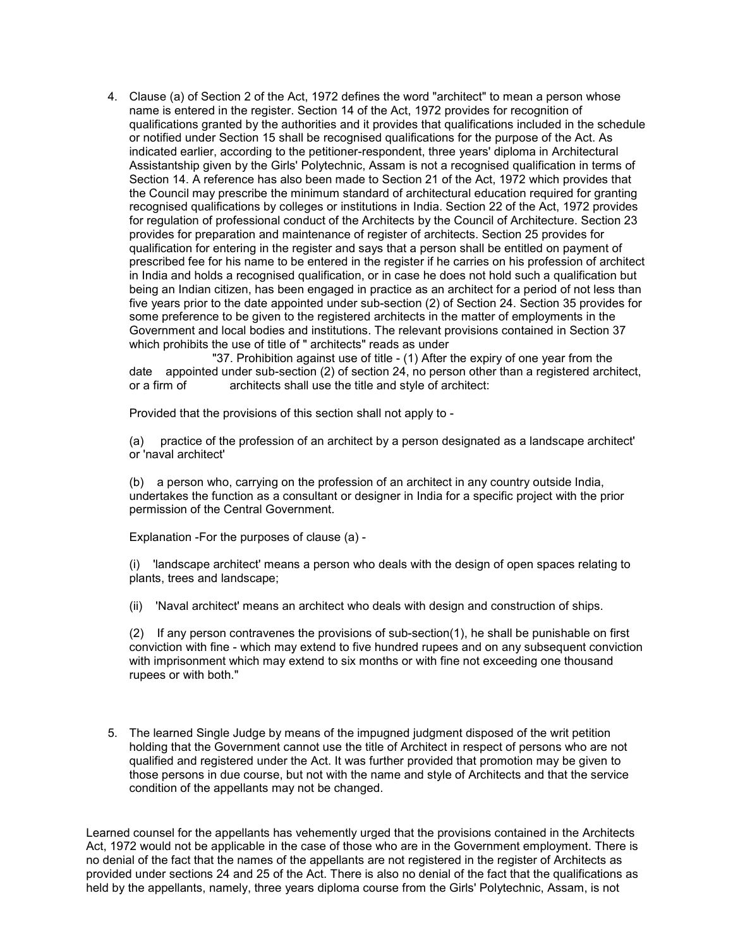4. Clause (a) of Section 2 of the Act, 1972 defines the word "architect" to mean a person whose name is entered in the register. Section 14 of the Act, 1972 provides for recognition of qualifications granted by the authorities and it provides that qualifications included in the schedule or notified under Section 15 shall be recognised qualifications for the purpose of the Act. As indicated earlier, according to the petitioner-respondent, three years' diploma in Architectural Assistantship given by the Girls' Polytechnic, Assam is not a recognised qualification in terms of Section 14. A reference has also been made to Section 21 of the Act, 1972 which provides that the Council may prescribe the minimum standard of architectural education required for granting recognised qualifications by colleges or institutions in India. Section 22 of the Act, 1972 provides for regulation of professional conduct of the Architects by the Council of Architecture. Section 23 provides for preparation and maintenance of register of architects. Section 25 provides for qualification for entering in the register and says that a person shall be entitled on payment of prescribed fee for his name to be entered in the register if he carries on his profession of architect in India and holds a recognised qualification, or in case he does not hold such a qualification but being an Indian citizen, has been engaged in practice as an architect for a period of not less than five years prior to the date appointed under sub-section (2) of Section 24. Section 35 provides for some preference to be given to the registered architects in the matter of employments in the Government and local bodies and institutions. The relevant provisions contained in Section 37 which prohibits the use of title of " architects" reads as under

 "37. Prohibition against use of title - (1) After the expiry of one year from the date appointed under sub-section (2) of section 24, no person other than a registered architect, or a firm of architects shall use the title and style of architect:

Provided that the provisions of this section shall not apply to -

(a) practice of the profession of an architect by a person designated as a landscape architect' or 'naval architect'

(b) a person who, carrying on the profession of an architect in any country outside India, undertakes the function as a consultant or designer in India for a specific project with the prior permission of the Central Government.

Explanation -For the purposes of clause (a) -

(i) 'landscape architect' means a person who deals with the design of open spaces relating to plants, trees and landscape;

(ii) 'Naval architect' means an architect who deals with design and construction of ships.

(2) If any person contravenes the provisions of sub-section(1), he shall be punishable on first conviction with fine - which may extend to five hundred rupees and on any subsequent conviction with imprisonment which may extend to six months or with fine not exceeding one thousand rupees or with both."

5. The learned Single Judge by means of the impugned judgment disposed of the writ petition holding that the Government cannot use the title of Architect in respect of persons who are not qualified and registered under the Act. It was further provided that promotion may be given to those persons in due course, but not with the name and style of Architects and that the service condition of the appellants may not be changed.

Learned counsel for the appellants has vehemently urged that the provisions contained in the Architects Act, 1972 would not be applicable in the case of those who are in the Government employment. There is no denial of the fact that the names of the appellants are not registered in the register of Architects as provided under sections 24 and 25 of the Act. There is also no denial of the fact that the qualifications as held by the appellants, namely, three years diploma course from the Girls' Polytechnic, Assam, is not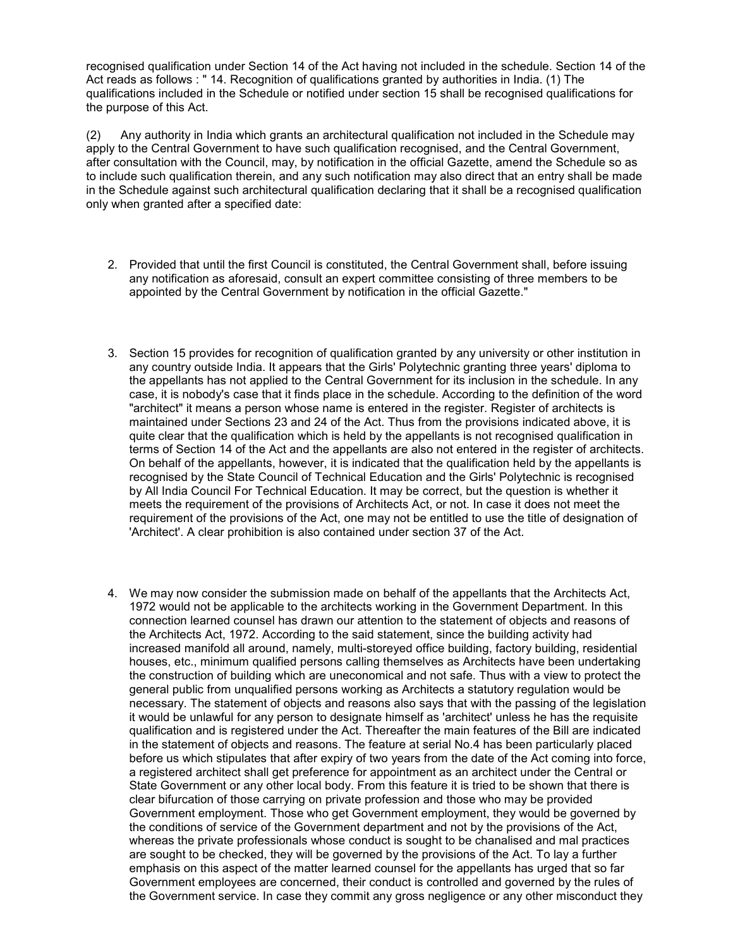recognised qualification under Section 14 of the Act having not included in the schedule. Section 14 of the Act reads as follows : " 14. Recognition of qualifications granted by authorities in India. (1) The qualifications included in the Schedule or notified under section 15 shall be recognised qualifications for the purpose of this Act.

(2) Any authority in India which grants an architectural qualification not included in the Schedule may apply to the Central Government to have such qualification recognised, and the Central Government, after consultation with the Council, may, by notification in the official Gazette, amend the Schedule so as to include such qualification therein, and any such notification may also direct that an entry shall be made in the Schedule against such architectural qualification declaring that it shall be a recognised qualification only when granted after a specified date:

- 2. Provided that until the first Council is constituted, the Central Government shall, before issuing any notification as aforesaid, consult an expert committee consisting of three members to be appointed by the Central Government by notification in the official Gazette."
- 3. Section 15 provides for recognition of qualification granted by any university or other institution in any country outside India. It appears that the Girls' Polytechnic granting three years' diploma to the appellants has not applied to the Central Government for its inclusion in the schedule. In any case, it is nobody's case that it finds place in the schedule. According to the definition of the word "architect" it means a person whose name is entered in the register. Register of architects is maintained under Sections 23 and 24 of the Act. Thus from the provisions indicated above, it is quite clear that the qualification which is held by the appellants is not recognised qualification in terms of Section 14 of the Act and the appellants are also not entered in the register of architects. On behalf of the appellants, however, it is indicated that the qualification held by the appellants is recognised by the State Council of Technical Education and the Girls' Polytechnic is recognised by All India Council For Technical Education. It may be correct, but the question is whether it meets the requirement of the provisions of Architects Act, or not. In case it does not meet the requirement of the provisions of the Act, one may not be entitled to use the title of designation of 'Architect'. A clear prohibition is also contained under section 37 of the Act.
- 4. We may now consider the submission made on behalf of the appellants that the Architects Act, 1972 would not be applicable to the architects working in the Government Department. In this connection learned counsel has drawn our attention to the statement of objects and reasons of the Architects Act, 1972. According to the said statement, since the building activity had increased manifold all around, namely, multi-storeyed office building, factory building, residential houses, etc., minimum qualified persons calling themselves as Architects have been undertaking the construction of building which are uneconomical and not safe. Thus with a view to protect the general public from unqualified persons working as Architects a statutory regulation would be necessary. The statement of objects and reasons also says that with the passing of the legislation it would be unlawful for any person to designate himself as 'architect' unless he has the requisite qualification and is registered under the Act. Thereafter the main features of the Bill are indicated in the statement of objects and reasons. The feature at serial No.4 has been particularly placed before us which stipulates that after expiry of two years from the date of the Act coming into force, a registered architect shall get preference for appointment as an architect under the Central or State Government or any other local body. From this feature it is tried to be shown that there is clear bifurcation of those carrying on private profession and those who may be provided Government employment. Those who get Government employment, they would be governed by the conditions of service of the Government department and not by the provisions of the Act, whereas the private professionals whose conduct is sought to be chanalised and mal practices are sought to be checked, they will be governed by the provisions of the Act. To lay a further emphasis on this aspect of the matter learned counsel for the appellants has urged that so far Government employees are concerned, their conduct is controlled and governed by the rules of the Government service. In case they commit any gross negligence or any other misconduct they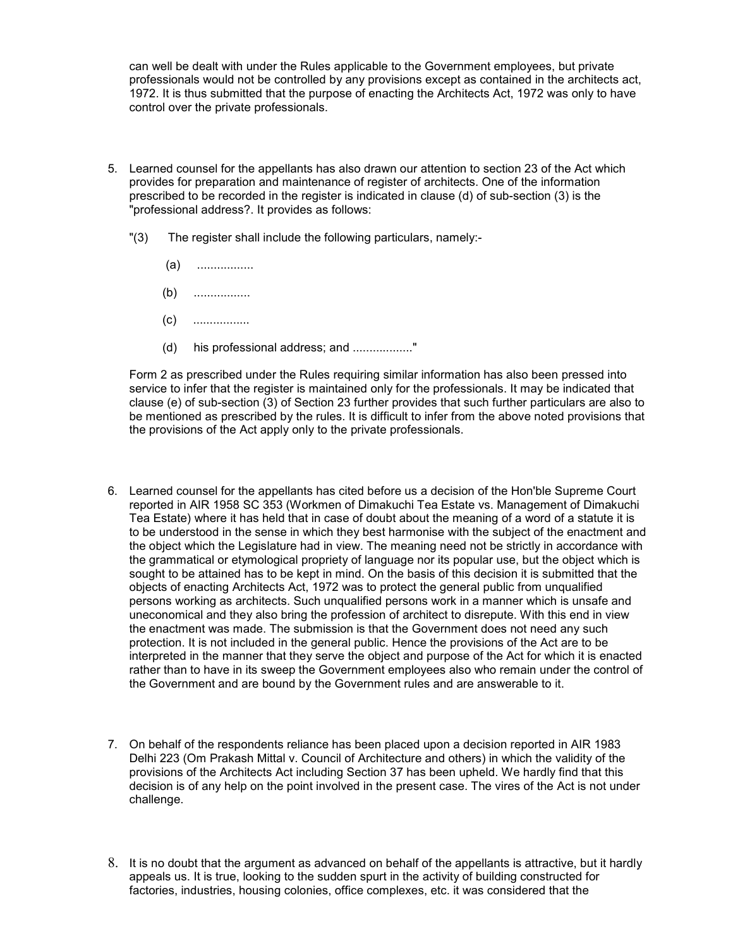can well be dealt with under the Rules applicable to the Government employees, but private professionals would not be controlled by any provisions except as contained in the architects act, 1972. It is thus submitted that the purpose of enacting the Architects Act, 1972 was only to have control over the private professionals.

- 5. Learned counsel for the appellants has also drawn our attention to section 23 of the Act which provides for preparation and maintenance of register of architects. One of the information prescribed to be recorded in the register is indicated in clause (d) of sub-section (3) is the "professional address?. It provides as follows:
	- "(3) The register shall include the following particulars, namely:-
		- (a) .................
		- (b) .................
		- (c) .................
		- (d) his professional address; and ..................."

Form 2 as prescribed under the Rules requiring similar information has also been pressed into service to infer that the register is maintained only for the professionals. It may be indicated that clause (e) of sub-section (3) of Section 23 further provides that such further particulars are also to be mentioned as prescribed by the rules. It is difficult to infer from the above noted provisions that the provisions of the Act apply only to the private professionals.

- 6. Learned counsel for the appellants has cited before us a decision of the Hon'ble Supreme Court reported in AIR 1958 SC 353 (Workmen of Dimakuchi Tea Estate vs. Management of Dimakuchi Tea Estate) where it has held that in case of doubt about the meaning of a word of a statute it is to be understood in the sense in which they best harmonise with the subject of the enactment and the object which the Legislature had in view. The meaning need not be strictly in accordance with the grammatical or etymological propriety of language nor its popular use, but the object which is sought to be attained has to be kept in mind. On the basis of this decision it is submitted that the objects of enacting Architects Act, 1972 was to protect the general public from unqualified persons working as architects. Such unqualified persons work in a manner which is unsafe and uneconomical and they also bring the profession of architect to disrepute. With this end in view the enactment was made. The submission is that the Government does not need any such protection. It is not included in the general public. Hence the provisions of the Act are to be interpreted in the manner that they serve the object and purpose of the Act for which it is enacted rather than to have in its sweep the Government employees also who remain under the control of the Government and are bound by the Government rules and are answerable to it.
- 7. On behalf of the respondents reliance has been placed upon a decision reported in AIR 1983 Delhi 223 (Om Prakash Mittal v. Council of Architecture and others) in which the validity of the provisions of the Architects Act including Section 37 has been upheld. We hardly find that this decision is of any help on the point involved in the present case. The vires of the Act is not under challenge.
- 8. It is no doubt that the argument as advanced on behalf of the appellants is attractive, but it hardly appeals us. It is true, looking to the sudden spurt in the activity of building constructed for factories, industries, housing colonies, office complexes, etc. it was considered that the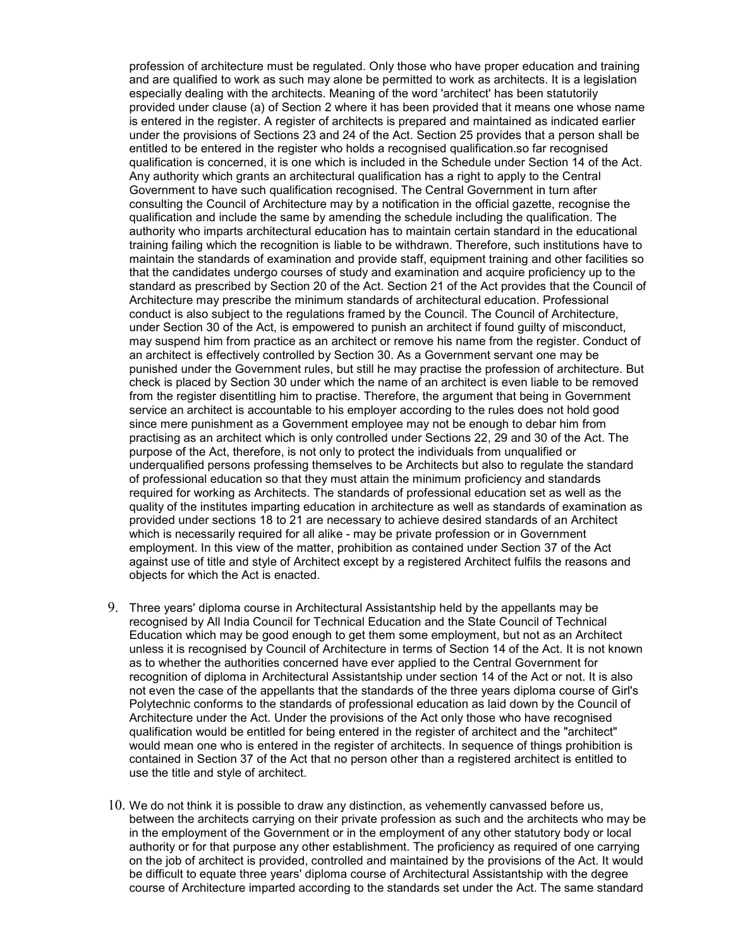profession of architecture must be regulated. Only those who have proper education and training and are qualified to work as such may alone be permitted to work as architects. It is a legislation especially dealing with the architects. Meaning of the word 'architect' has been statutorily provided under clause (a) of Section 2 where it has been provided that it means one whose name is entered in the register. A register of architects is prepared and maintained as indicated earlier under the provisions of Sections 23 and 24 of the Act. Section 25 provides that a person shall be entitled to be entered in the register who holds a recognised qualification.so far recognised qualification is concerned, it is one which is included in the Schedule under Section 14 of the Act. Any authority which grants an architectural qualification has a right to apply to the Central Government to have such qualification recognised. The Central Government in turn after consulting the Council of Architecture may by a notification in the official gazette, recognise the qualification and include the same by amending the schedule including the qualification. The authority who imparts architectural education has to maintain certain standard in the educational training failing which the recognition is liable to be withdrawn. Therefore, such institutions have to maintain the standards of examination and provide staff, equipment training and other facilities so that the candidates undergo courses of study and examination and acquire proficiency up to the standard as prescribed by Section 20 of the Act. Section 21 of the Act provides that the Council of Architecture may prescribe the minimum standards of architectural education. Professional conduct is also subject to the regulations framed by the Council. The Council of Architecture, under Section 30 of the Act, is empowered to punish an architect if found guilty of misconduct, may suspend him from practice as an architect or remove his name from the register. Conduct of an architect is effectively controlled by Section 30. As a Government servant one may be punished under the Government rules, but still he may practise the profession of architecture. But check is placed by Section 30 under which the name of an architect is even liable to be removed from the register disentitling him to practise. Therefore, the argument that being in Government service an architect is accountable to his employer according to the rules does not hold good since mere punishment as a Government employee may not be enough to debar him from practising as an architect which is only controlled under Sections 22, 29 and 30 of the Act. The purpose of the Act, therefore, is not only to protect the individuals from unqualified or underqualified persons professing themselves to be Architects but also to regulate the standard of professional education so that they must attain the minimum proficiency and standards required for working as Architects. The standards of professional education set as well as the quality of the institutes imparting education in architecture as well as standards of examination as provided under sections 18 to 21 are necessary to achieve desired standards of an Architect which is necessarily required for all alike - may be private profession or in Government employment. In this view of the matter, prohibition as contained under Section 37 of the Act against use of title and style of Architect except by a registered Architect fulfils the reasons and objects for which the Act is enacted.

- 9. Three years' diploma course in Architectural Assistantship held by the appellants may be recognised by All India Council for Technical Education and the State Council of Technical Education which may be good enough to get them some employment, but not as an Architect unless it is recognised by Council of Architecture in terms of Section 14 of the Act. It is not known as to whether the authorities concerned have ever applied to the Central Government for recognition of diploma in Architectural Assistantship under section 14 of the Act or not. It is also not even the case of the appellants that the standards of the three years diploma course of Girl's Polytechnic conforms to the standards of professional education as laid down by the Council of Architecture under the Act. Under the provisions of the Act only those who have recognised qualification would be entitled for being entered in the register of architect and the "architect" would mean one who is entered in the register of architects. In sequence of things prohibition is contained in Section 37 of the Act that no person other than a registered architect is entitled to use the title and style of architect.
- 10. We do not think it is possible to draw any distinction, as vehemently canvassed before us, between the architects carrying on their private profession as such and the architects who may be in the employment of the Government or in the employment of any other statutory body or local authority or for that purpose any other establishment. The proficiency as required of one carrying on the job of architect is provided, controlled and maintained by the provisions of the Act. It would be difficult to equate three years' diploma course of Architectural Assistantship with the degree course of Architecture imparted according to the standards set under the Act. The same standard